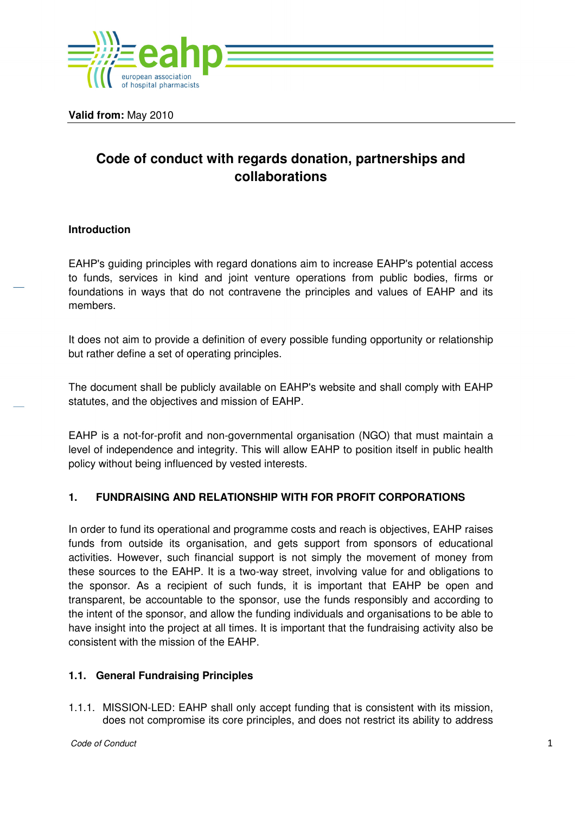

**Valid from:** May 2010

# **Code of conduct with regards donation, partnerships and collaborations**

## **Introduction**

EAHP's guiding principles with regard donations aim to increase EAHP's potential access to funds, services in kind and joint venture operations from public bodies, firms or foundations in ways that do not contravene the principles and values of EAHP and its members.

It does not aim to provide a definition of every possible funding opportunity or relationship but rather define a set of operating principles.

The document shall be publicly available on EAHP's website and shall comply with EAHP statutes, and the objectives and mission of EAHP.

EAHP is a not-for-profit and non-governmental organisation (NGO) that must maintain a level of independence and integrity. This will allow EAHP to position itself in public health policy without being influenced by vested interests.

## **1. FUNDRAISING AND RELATIONSHIP WITH FOR PROFIT CORPORATIONS**

In order to fund its operational and programme costs and reach is objectives, EAHP raises funds from outside its organisation, and gets support from sponsors of educational activities. However, such financial support is not simply the movement of money from these sources to the EAHP. It is a two-way street, involving value for and obligations to the sponsor. As a recipient of such funds, it is important that EAHP be open and transparent, be accountable to the sponsor, use the funds responsibly and according to the intent of the sponsor, and allow the funding individuals and organisations to be able to have insight into the project at all times. It is important that the fundraising activity also be consistent with the mission of the EAHP.

#### **1.1. General Fundraising Principles**

1.1.1. MISSION-LED: EAHP shall only accept funding that is consistent with its mission, does not compromise its core principles, and does not restrict its ability to address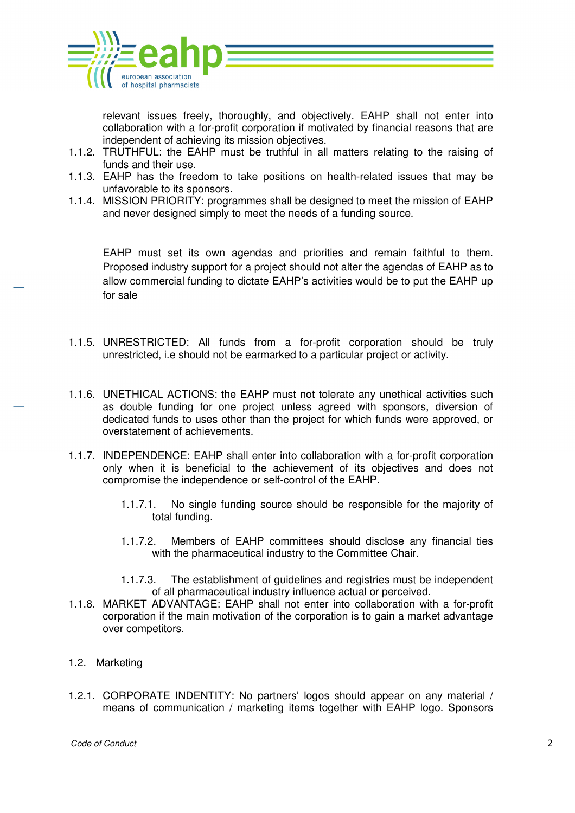

relevant issues freely, thoroughly, and objectively. EAHP shall not enter into collaboration with a for-profit corporation if motivated by financial reasons that are independent of achieving its mission objectives.

- 1.1.2. TRUTHFUL: the EAHP must be truthful in all matters relating to the raising of funds and their use.
- 1.1.3. EAHP has the freedom to take positions on health-related issues that may be unfavorable to its sponsors.
- 1.1.4. MISSION PRIORITY: programmes shall be designed to meet the mission of EAHP and never designed simply to meet the needs of a funding source.

EAHP must set its own agendas and priorities and remain faithful to them. Proposed industry support for a project should not alter the agendas of EAHP as to allow commercial funding to dictate EAHP's activities would be to put the EAHP up for sale

- 1.1.5. UNRESTRICTED: All funds from a for-profit corporation should be truly unrestricted, i.e should not be earmarked to a particular project or activity.
- 1.1.6. UNETHICAL ACTIONS: the EAHP must not tolerate any unethical activities such as double funding for one project unless agreed with sponsors, diversion of dedicated funds to uses other than the project for which funds were approved, or overstatement of achievements.
- 1.1.7. INDEPENDENCE: EAHP shall enter into collaboration with a for-profit corporation only when it is beneficial to the achievement of its objectives and does not compromise the independence or self-control of the EAHP.
	- 1.1.7.1. No single funding source should be responsible for the majority of total funding.
	- 1.1.7.2. Members of EAHP committees should disclose any financial ties with the pharmaceutical industry to the Committee Chair.
	- 1.1.7.3. The establishment of guidelines and registries must be independent of all pharmaceutical industry influence actual or perceived.
- 1.1.8. MARKET ADVANTAGE: EAHP shall not enter into collaboration with a for-profit corporation if the main motivation of the corporation is to gain a market advantage over competitors.
- 1.2. Marketing
- 1.2.1. CORPORATE INDENTITY: No partners' logos should appear on any material / means of communication / marketing items together with EAHP logo. Sponsors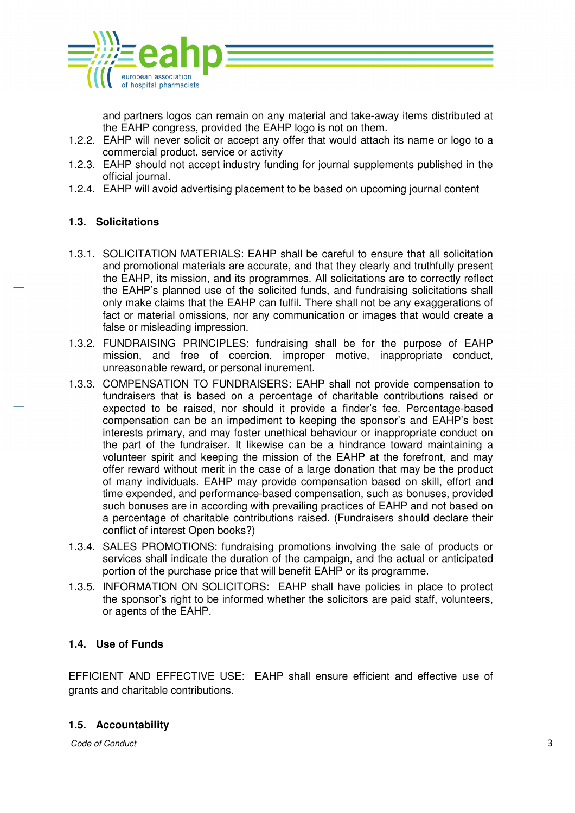

and partners logos can remain on any material and take-away items distributed at the EAHP congress, provided the EAHP logo is not on them.

- 1.2.2. EAHP will never solicit or accept any offer that would attach its name or logo to a commercial product, service or activity
- 1.2.3. EAHP should not accept industry funding for journal supplements published in the official journal.
- 1.2.4. EAHP will avoid advertising placement to be based on upcoming journal content

## **1.3. Solicitations**

- 1.3.1. SOLICITATION MATERIALS: EAHP shall be careful to ensure that all solicitation and promotional materials are accurate, and that they clearly and truthfully present the EAHP, its mission, and its programmes. All solicitations are to correctly reflect the EAHP's planned use of the solicited funds, and fundraising solicitations shall only make claims that the EAHP can fulfil. There shall not be any exaggerations of fact or material omissions, nor any communication or images that would create a false or misleading impression.
- 1.3.2. FUNDRAISING PRINCIPLES: fundraising shall be for the purpose of EAHP mission, and free of coercion, improper motive, inappropriate conduct, unreasonable reward, or personal inurement.
- 1.3.3. COMPENSATION TO FUNDRAISERS: EAHP shall not provide compensation to fundraisers that is based on a percentage of charitable contributions raised or expected to be raised, nor should it provide a finder's fee. Percentage-based compensation can be an impediment to keeping the sponsor's and EAHP's best interests primary, and may foster unethical behaviour or inappropriate conduct on the part of the fundraiser. It likewise can be a hindrance toward maintaining a volunteer spirit and keeping the mission of the EAHP at the forefront, and may offer reward without merit in the case of a large donation that may be the product of many individuals. EAHP may provide compensation based on skill, effort and time expended, and performance-based compensation, such as bonuses, provided such bonuses are in according with prevailing practices of EAHP and not based on a percentage of charitable contributions raised. (Fundraisers should declare their conflict of interest Open books?)
- 1.3.4. SALES PROMOTIONS: fundraising promotions involving the sale of products or services shall indicate the duration of the campaign, and the actual or anticipated portion of the purchase price that will benefit EAHP or its programme.
- 1.3.5. INFORMATION ON SOLICITORS: EAHP shall have policies in place to protect the sponsor's right to be informed whether the solicitors are paid staff, volunteers, or agents of the EAHP.

#### **1.4. Use of Funds**

EFFICIENT AND EFFECTIVE USE: EAHP shall ensure efficient and effective use of grants and charitable contributions.

#### **1.5. Accountability**

Code of Conduct 3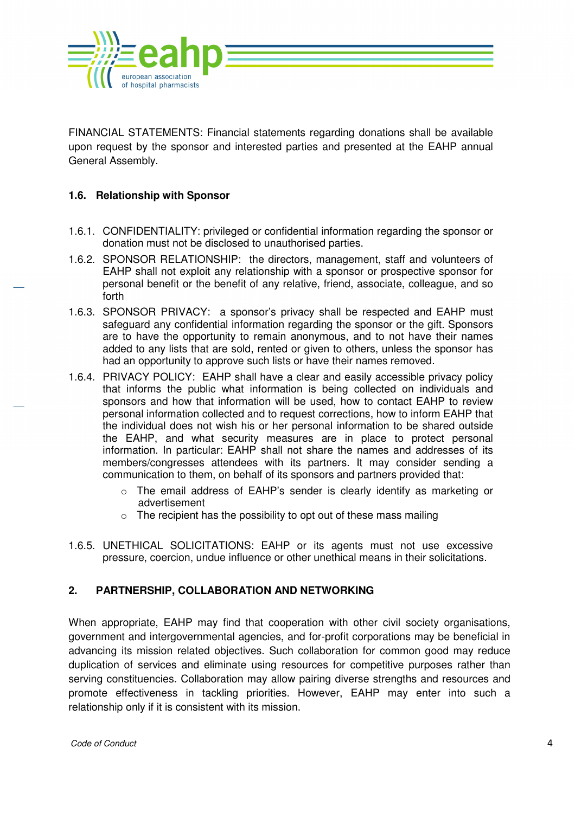

FINANCIAL STATEMENTS: Financial statements regarding donations shall be available upon request by the sponsor and interested parties and presented at the EAHP annual General Assembly.

## **1.6. Relationship with Sponsor**

- 1.6.1. CONFIDENTIALITY: privileged or confidential information regarding the sponsor or donation must not be disclosed to unauthorised parties.
- 1.6.2. SPONSOR RELATIONSHIP: the directors, management, staff and volunteers of EAHP shall not exploit any relationship with a sponsor or prospective sponsor for personal benefit or the benefit of any relative, friend, associate, colleague, and so forth
- 1.6.3. SPONSOR PRIVACY: a sponsor's privacy shall be respected and EAHP must safeguard any confidential information regarding the sponsor or the gift. Sponsors are to have the opportunity to remain anonymous, and to not have their names added to any lists that are sold, rented or given to others, unless the sponsor has had an opportunity to approve such lists or have their names removed.
- 1.6.4. PRIVACY POLICY: EAHP shall have a clear and easily accessible privacy policy that informs the public what information is being collected on individuals and sponsors and how that information will be used, how to contact EAHP to review personal information collected and to request corrections, how to inform EAHP that the individual does not wish his or her personal information to be shared outside the EAHP, and what security measures are in place to protect personal information. In particular: EAHP shall not share the names and addresses of its members/congresses attendees with its partners. It may consider sending a communication to them, on behalf of its sponsors and partners provided that:
	- o The email address of EAHP's sender is clearly identify as marketing or advertisement
	- $\circ$  The recipient has the possibility to opt out of these mass mailing
- 1.6.5. UNETHICAL SOLICITATIONS: EAHP or its agents must not use excessive pressure, coercion, undue influence or other unethical means in their solicitations.

## **2. PARTNERSHIP, COLLABORATION AND NETWORKING**

When appropriate, EAHP may find that cooperation with other civil society organisations, government and intergovernmental agencies, and for-profit corporations may be beneficial in advancing its mission related objectives. Such collaboration for common good may reduce duplication of services and eliminate using resources for competitive purposes rather than serving constituencies. Collaboration may allow pairing diverse strengths and resources and promote effectiveness in tackling priorities. However, EAHP may enter into such a relationship only if it is consistent with its mission.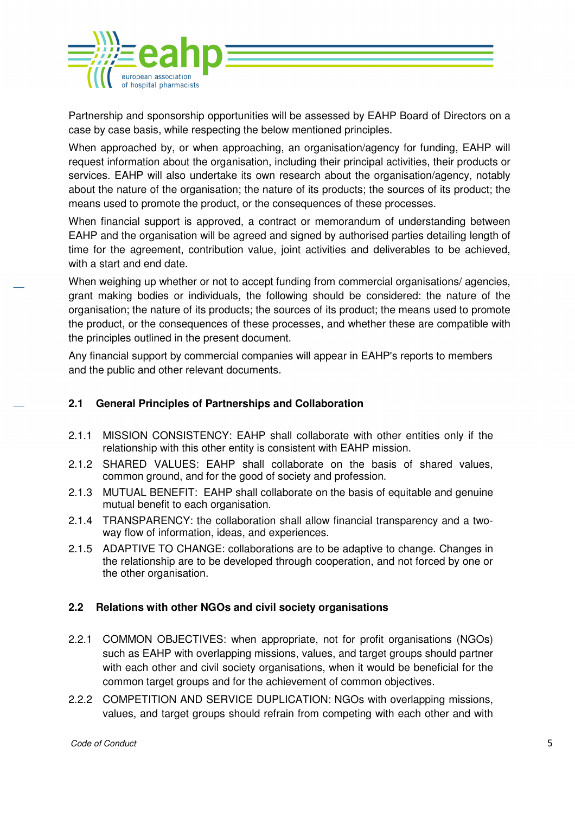

Partnership and sponsorship opportunities will be assessed by EAHP Board of Directors on a case by case basis, while respecting the below mentioned principles.

When approached by, or when approaching, an organisation/agency for funding, EAHP will request information about the organisation, including their principal activities, their products or services. EAHP will also undertake its own research about the organisation/agency, notably about the nature of the organisation; the nature of its products; the sources of its product; the means used to promote the product, or the consequences of these processes.

When financial support is approved, a contract or memorandum of understanding between EAHP and the organisation will be agreed and signed by authorised parties detailing length of time for the agreement, contribution value, joint activities and deliverables to be achieved, with a start and end date.

When weighing up whether or not to accept funding from commercial organisations/ agencies, grant making bodies or individuals, the following should be considered: the nature of the organisation; the nature of its products; the sources of its product; the means used to promote the product, or the consequences of these processes, and whether these are compatible with the principles outlined in the present document.

Any financial support by commercial companies will appear in EAHP's reports to members and the public and other relevant documents.

# **2.1 General Principles of Partnerships and Collaboration**

- 2.1.1 MISSION CONSISTENCY: EAHP shall collaborate with other entities only if the relationship with this other entity is consistent with EAHP mission.
- 2.1.2 SHARED VALUES: EAHP shall collaborate on the basis of shared values, common ground, and for the good of society and profession.
- 2.1.3 MUTUAL BENEFIT: EAHP shall collaborate on the basis of equitable and genuine mutual benefit to each organisation.
- 2.1.4 TRANSPARENCY: the collaboration shall allow financial transparency and a twoway flow of information, ideas, and experiences.
- 2.1.5 ADAPTIVE TO CHANGE: collaborations are to be adaptive to change. Changes in the relationship are to be developed through cooperation, and not forced by one or the other organisation.

## **2.2 Relations with other NGOs and civil society organisations**

- 2.2.1 COMMON OBJECTIVES: when appropriate, not for profit organisations (NGOs) such as EAHP with overlapping missions, values, and target groups should partner with each other and civil society organisations, when it would be beneficial for the common target groups and for the achievement of common objectives.
- 2.2.2 COMPETITION AND SERVICE DUPLICATION: NGOs with overlapping missions, values, and target groups should refrain from competing with each other and with